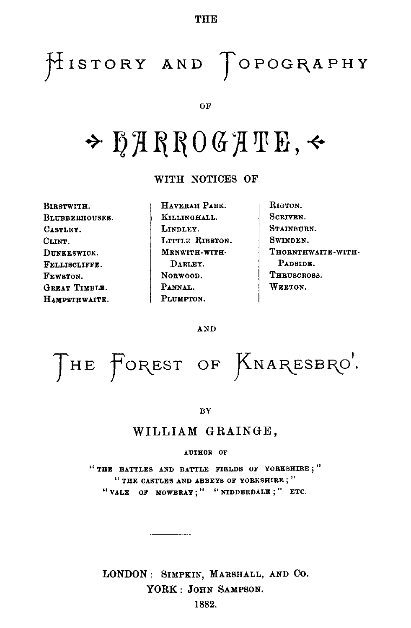**THE**

## HISTORY AND TOPOGRAPHY

OF

# HARROGATE,

**WITH NOTICES OF**

**BIRSTWITH. BLUBBERHOUSES. CASTLEY. CLINT. DUNKESWICK. FELLISCLIFFE. FEWSTON. GREAT TIMBLE. HAMPSTHWAITE.**

**HAVERAH PARK. KILLINGHALL. LINDLEY. LITTLE RIBSTON. MENWITH-WITH-DARLEY. NORWOOD. PANNAL. PLUMPTON.**

**RIGTON. SCRIVEN. STAINBURN. SWINDEN. THORNTHWAITE-WITH-PADSIDE. THRUSCROSS. WEETON.**

AND

THE FOREST OF KNARESBRO'

BY

### WILLIAM GRAINGE,

#### **AUTHOR OF**

**" THE BATTLES AND BATTLE FIELDS OF YORKSHIRE ; " " THE CASTLES AND ABBEYS OF YORKSHIRE; " " VALE OF MOWBRAY; " " NIDDERDALE ; " ETC.**

**LONDON :** SIMPKIN, MARSHALL, AND CO. YORK : JOHN SAMPSON.

1882.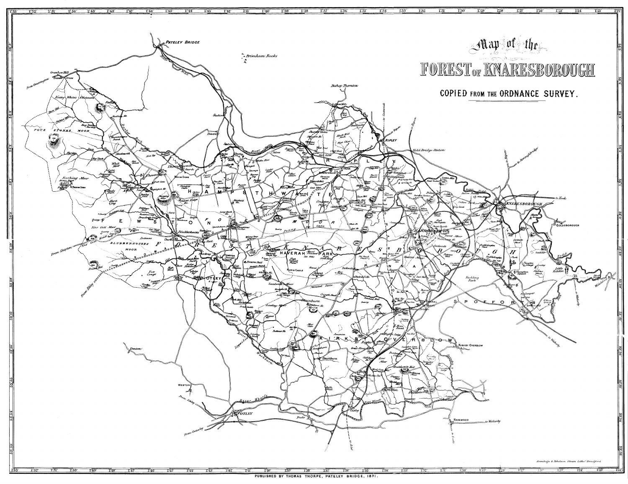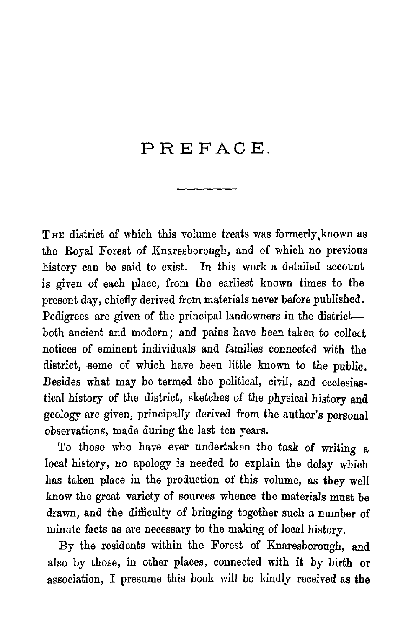### PREFACE.

THE district of which this volume treats was formerly known as the Royal Forest of Knaresborough, and of which no previous history can be said to exist. In this work a detailed account is given of each place, from the earliest known times to the present day, chiefly derived from materials never before published. Pedigrees are given of the principal landowners in the district both ancient and modern; and pains have been taken to collect notices of eminent individuals and families connected with the district, some of which have been little known to the public. Besides what may be termed the political, civil, and ecclesiastical history of the district, sketches of the physical history and geology are given, principally derived from the author's personal observations, made during the last ten years.

To those who have ever undertaken the task of writing a local history, no apology is needed to explain the delay which has taken place in the production of this volume, as they well know the great variety of sources whence the materials must be drawn, and the difficulty of bringing together such a number of minute facts as are necessary to the making of local history.

By the residents within the Forest of Knaresborough, and also by those, in other places, connected with it by birth or association, I presume this book will be kindly received as the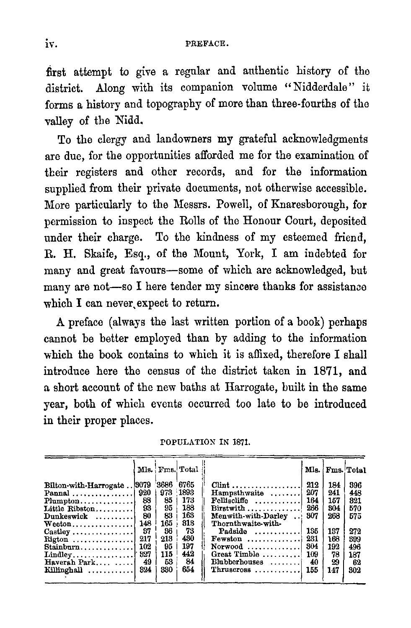first attempt to give a regular and authentic history of the district. Along with its companion volume "Nidderdale" it forms a history and topography of more than three-fourths of the valley of the Nidd.

To the clergy and landowners my grateful acknowledgments are due, for the opportunities afforded me for the examination of their registers and other records, and for the information supplied from their private documents, not otherwise accessible. More particularly to the Messrs. Powell, of Knaresborough, for permission to inspect the Rolls of the Honour Court, deposited under their charge. To the kindness of my esteemed friend, R. H. Skaife, Esq., of the Mount, York, I am indebted for many and great favours—some of which are acknowledged, but many are not—so I here tender my sincere thanks for assistance which I can never, expect to return.

A preface (always the last written portion of a book) perhaps cannot be better employed than by adding to the information which the book contains to which it is affixed, therefore I shall introduce here the census of the district taken in 1871, and a short account of the new baths at Harrogate, built in the same year, both of which events occurred too late to be introduced in their proper places.

| POPULATION IN 1871. |  |  |
|---------------------|--|--|
|---------------------|--|--|

|                                                |     |       | Mls. Fms. Total |                                   |     | Mls. Fms. Total |     |
|------------------------------------------------|-----|-------|-----------------|-----------------------------------|-----|-----------------|-----|
| Bilton-with-Harrogate 8079                     |     | '3686 | 6765            | $Clint$                           | 212 | 184             | 396 |
|                                                |     |       | 973 1893        | Hampsthwaite                      | 207 | 241             | 448 |
| $Plumpton$                                     | 88  | 85    | 178             | Felliscliffe                      | 164 | 157             | 321 |
| Little Ribston                                 | 93  | 95    | 188             | $Birstwith \ldots \ldots \ldots$  | 266 | 304             | 570 |
| $Dunkeswick$                                   | 80  | 83    | 168             | Menwith-with-Darley               | 307 | 268             | 575 |
| $Weedon \ldots \ldots$                         | 148 | 165   | 813             | Thornthwaite-with-                |     |                 |     |
| $\text{Castley} \dots \dots \dots \dots \dots$ | 37  | 36    | 73              | Padside $\dots \dots$             | 135 | 137             | 272 |
| Rigton                                         | 217 | 213   | 430             | $Fewston$ ,,,,,,,,,,,,,,,         | 231 | 168             | 399 |
| $Stainburn$                                    | 102 | 95    | 197             | $Normood$                         | 304 | 192             | 496 |
|                                                |     | 115   | 442             | Great Timble                      | 109 | 78              | 187 |
| Haverah Park                                   | 49  | 53    | 84              | Blubberhouses                     | 40  | 29              | 62  |
| Killinghall $\ldots \ldots \ldots$ 824         |     | 330   | 654             | $Thruscross \ldots \ldots \ldots$ | 155 | 147             | 302 |
|                                                |     |       |                 |                                   |     |                 |     |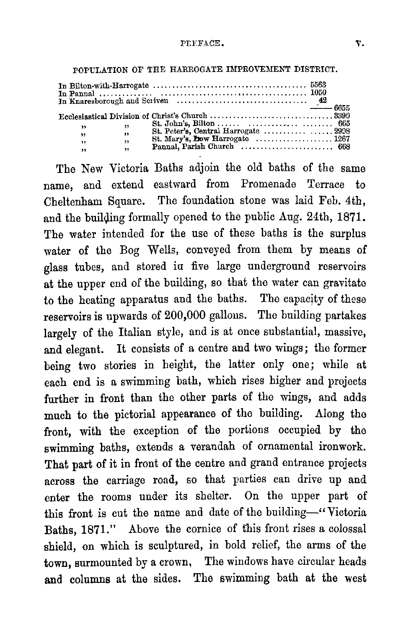| ,, | $\overline{\mathbf{y}}$ | $St. John's. Bilton      665$                                                     |  |
|----|-------------------------|-----------------------------------------------------------------------------------|--|
| ,, |                         |                                                                                   |  |
| 99 | $\cdot$                 | St. Mary's, <b>how</b> Harrogate $\dots \dots \dots \dots \dots \dots \dots 1267$ |  |
| ,, | $\rightarrow$           |                                                                                   |  |

POPULATION OF THE HARROGATE IMPROVEMENT DISTRICT.

The New Victoria Baths adjoin the old baths of the same name, and extend eastward from Promenade Terrace to Cheltenham Square. The foundation stone was laid Feb. 4th, and the building formally opened to the public Aug. 24th, 1871. The water intended for the use of these baths is the surplus water of the Bog Wells, conveyed from them by means of glass tubes, and stored in five large underground reservoirs at the upper end of the building, so that the water can gravitate to the heating apparatus and the baths. The capacity of these reservoirs is upwards of 200,000 gallons. The building partakes largely of the Italian style, and is at once substantial, massive, and elegant. It consists of a centre and two wings; the former being two stories in height, the latter only one; while at each end is a swimming bath, which rises higher and projects further in front than the other parts of the wings, and adds much to the pictorial appearance of the building. Along tho front, with the exception of the portions occupied by the swimming baths, extends a verandah of ornamental ironwork. That part of it in front of the centre and grand entrance projects across the carriage road, so that parties can drive up and enter the rooms under its shelter. On the upper part of this front is cut the name and date of the building—" Victoria Baths, 1871." Above the cornice of this front rises a colossal shield, on which is sculptured, in bold relief, the arms of the town, surmounted by a crown, The windows have circular heads and columns at the sides. The swimming bath at the west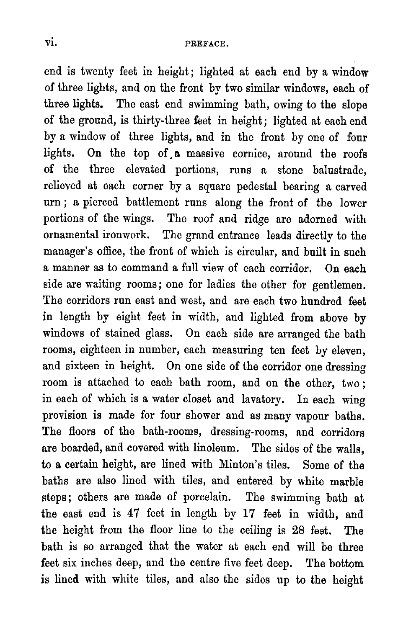end is twenty feet in height; lighted at each end by a window of three lights, and on the front by two similar windows, each of three lights. The east end swimming bath, owing to the slope of the ground, is thirty-three feet in height; lighted at each end by a window of three lights, and in the front by one of four lights. On the top of a massive cornice, around the roofs of the three elevated portions, runs a stone balustrade, relieved at each corner by a square pedestal bearing a carved urn ; a pierced battlement runs along the front of the lower portions of the wings. The roof and ridge are adorned with ornamental ironwork. The grand entrance leads directly to the manager's office, the front of which is circular, and built in such a manner as to command a full view of each corridor. On each side are waiting rooms; one for ladies the other for gentlemen. The corridors run east and west, and are each two hundred feet in length by eight feet in width, and lighted from above by windows of stained glass. On each side are arranged the bath rooms, eighteen in number, each measuring ten feet by eleven, and sixteen in height. On one side of the corridor one dressing room is attached to each bath room, and on the other, two ; in each of which is a water closet and lavatory. In each wing provision is made for four shower and as many vapour baths. The floors of the bath-rooms, dressing-rooms, and corridors are boarded, and covered with linoleum. The sides of the walls, to a certain height, are lined with Minton's tiles. Some of the baths are also lined with tiles, and entered by white marble steps; others are made of porcelain. The swimming bath at the east end is 47 feet in length by 17 feet in width, and the height from the floor line to the ceiling is 28 feet. The bath is so arranged that the water at each end will be three feet six inches deep, and the centre five feet deep. The bottom is lined with white tiles, and also the sides up to the height